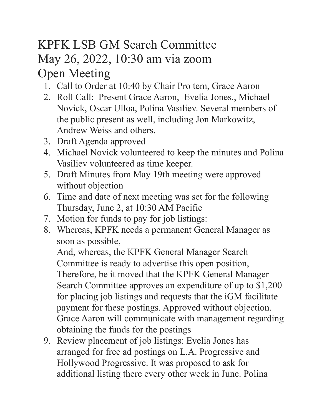## KPFK LSB GM Search Committee May 26, 2022, 10:30 am via zoom Open Meeting

- 1. Call to Order at 10:40 by Chair Pro tem, Grace Aaron
- 2. Roll Call: Present Grace Aaron, Evelia Jones., Michael Novick, Oscar Ulloa, Polina Vasiliev. Several members of the public present as well, including Jon Markowitz, Andrew Weiss and others.
- 3. Draft Agenda approved
- 4. Michael Novick volunteered to keep the minutes and Polina Vasiliev volunteered as time keeper.
- 5. Draft Minutes from May 19th meeting were approved without objection
- 6. Time and date of next meeting was set for the following Thursday, June 2, at 10:30 AM Pacific
- 7. Motion for funds to pay for job listings:
- 8. Whereas, KPFK needs a permanent General Manager as soon as possible,

And, whereas, the KPFK General Manager Search Committee is ready to advertise this open position, Therefore, be it moved that the KPFK General Manager Search Committee approves an expenditure of up to \$1,200 for placing job listings and requests that the iGM facilitate payment for these postings. Approved without objection. Grace Aaron will communicate with management regarding obtaining the funds for the postings

9. Review placement of job listings: Evelia Jones has arranged for free ad postings on L.A. Progressive and Hollywood Progressive. It was proposed to ask for additional listing there every other week in June. Polina